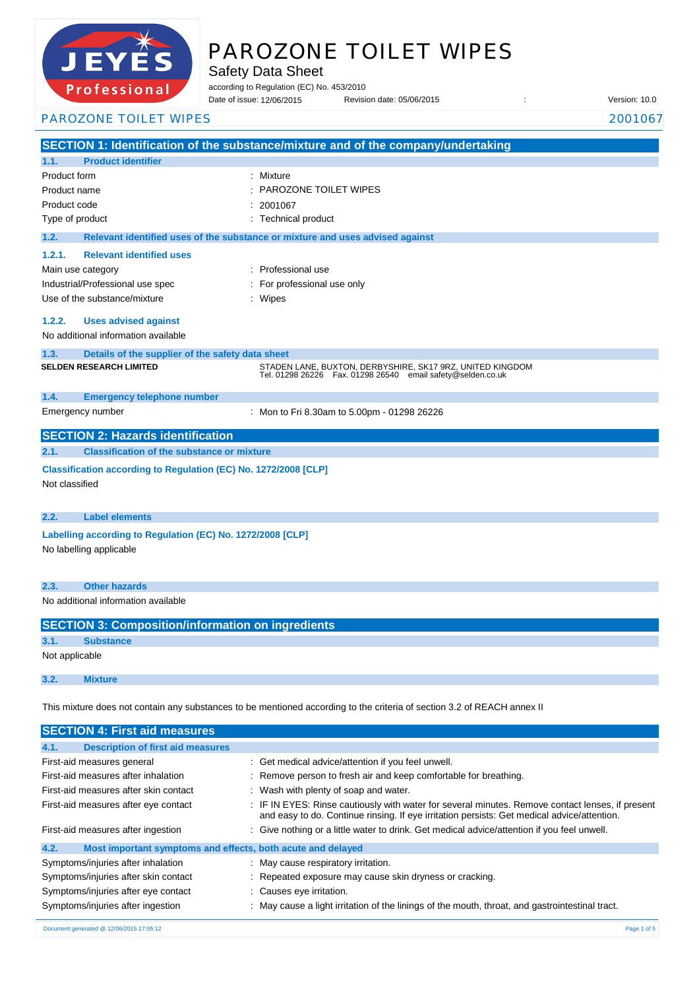

# PAROZONE TOILET WIPES

Safety Data Sheet

according to Regulation (EC) No. 453/2010

Date of issue: Revision date: 05/06/2015 : Version: 10.0 12/06/2015

PAROZONE TOILET WIPES 2001067

**SECTION 1: Identification of the substance/mixture and of the company/undertaking 1.1. Product identifier** Product form : Nixture : Mixture Product name : Product code : Type of product Type of product in the set of the set of the set of the set of the set of the set of the set of the set of the set of the set of the set of the set of the set of the set of the set of the set of the set of **1.2. Relevant identified uses of the substance or mixture and uses advised against 1.2.1. Relevant identified uses**  Main use category **intervalled** and the category of the category of the category of the category of the category Industrial/Professional use spec : For professional use only Use of the substance/mixture in the substance of the substance of the substance of the substance of the substance of the substance of the substance of the substance of the substance of the substance of the substance of the **1.2.2. Uses advised against** No additional information available **1.3. Details of the supplier of the safety data sheet 1.4. Emergency telephone number** Emergency number : **SECTION 2: Hazards identification 2.1. Classification of the substance or mixture Classification according to Regulation (EC) No. 1272/2008 [CLP]** Not classified **2.2. Label elements Labelling according to Regulation (EC) No. 1272/2008 [CLP]** No labelling applicable **2.3. Other hazards** No additional information available **SECTION 3: Composition/information on ingredients 3.1. Substance** Not applicable **3.2. Mixture** This mixture does not contain any substances to be mentioned according to the criteria of section 3.2 of REACH annex II **SECTION 4: First aid measures** PAROZONE TOILET WIPES 2001067 **SELDEN RESEARCH LIMITED** STADEN LANE, BUXTON, DERBYSHIRE, SK17 9RZ, UNITED KINGDOM Tel. 01298 26226 Fax. 01298 26540 email safety@selden.co.uk Mon to Fri 8.30am to 5.00pm - 01298 26226

| 4.1.<br><b>Description of first aid measures</b>                    |                                                                                                                                                                                                 |  |
|---------------------------------------------------------------------|-------------------------------------------------------------------------------------------------------------------------------------------------------------------------------------------------|--|
| First-aid measures general                                          | : Get medical advice/attention if you feel unwell.                                                                                                                                              |  |
| First-aid measures after inhalation                                 | : Remove person to fresh air and keep comfortable for breathing.                                                                                                                                |  |
| First-aid measures after skin contact                               | : Wash with plenty of soap and water.                                                                                                                                                           |  |
| First-aid measures after eye contact                                | : IF IN EYES: Rinse cautiously with water for several minutes. Remove contact lenses, if present<br>and easy to do. Continue rinsing. If eye irritation persists: Get medical advice/attention. |  |
| First-aid measures after ingestion                                  | : Give nothing or a little water to drink. Get medical advice/attention if you feel unwell.                                                                                                     |  |
| 4.2.<br>Most important symptoms and effects, both acute and delayed |                                                                                                                                                                                                 |  |
| Symptoms/injuries after inhalation                                  | : May cause respiratory irritation.                                                                                                                                                             |  |
| Symptoms/injuries after skin contact                                | : Repeated exposure may cause skin dryness or cracking.                                                                                                                                         |  |
| Symptoms/injuries after eye contact                                 | : Causes eye irritation.                                                                                                                                                                        |  |
| Symptoms/injuries after ingestion                                   | : May cause a light irritation of the linings of the mouth, throat, and gastrointestinal tract.                                                                                                 |  |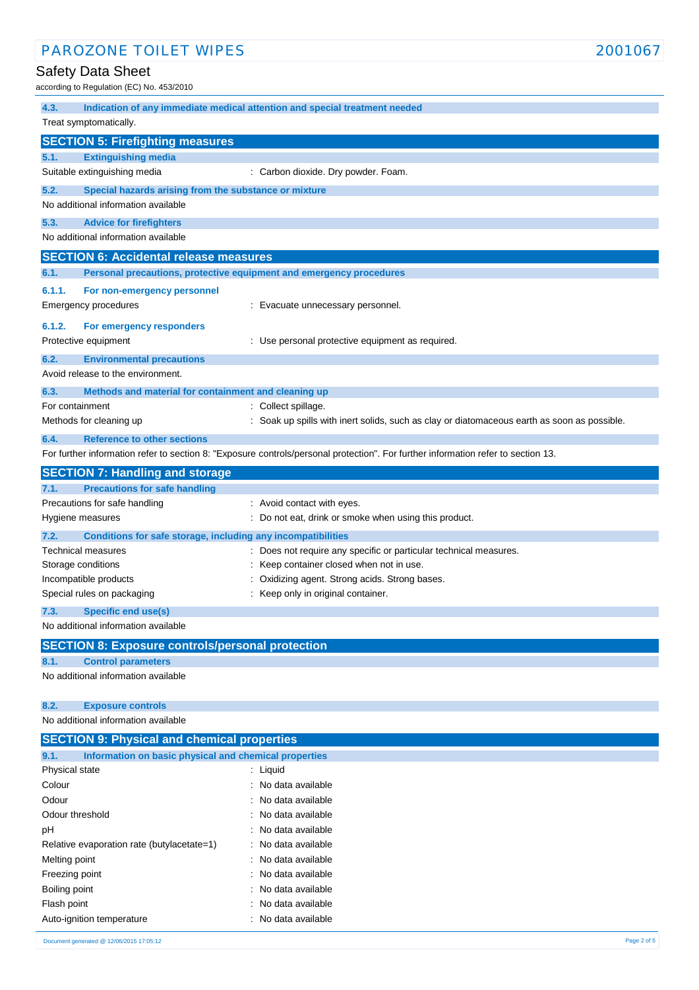# Safety Data Sheet

according to Regulation (EC) No. 453/2010

| 4.3.            |                                                                                    | Indication of any immediate medical attention and special treatment needed                                                        |
|-----------------|------------------------------------------------------------------------------------|-----------------------------------------------------------------------------------------------------------------------------------|
|                 | Treat symptomatically.                                                             |                                                                                                                                   |
|                 | <b>SECTION 5: Firefighting measures</b>                                            |                                                                                                                                   |
| 5.1.            | <b>Extinguishing media</b>                                                         |                                                                                                                                   |
|                 | Suitable extinguishing media                                                       | : Carbon dioxide. Dry powder. Foam.                                                                                               |
| 5.2.            | Special hazards arising from the substance or mixture                              |                                                                                                                                   |
|                 | No additional information available                                                |                                                                                                                                   |
| 5.3.            | <b>Advice for firefighters</b>                                                     |                                                                                                                                   |
|                 | No additional information available                                                |                                                                                                                                   |
|                 | <b>SECTION 6: Accidental release measures</b>                                      |                                                                                                                                   |
| 6.1.            | Personal precautions, protective equipment and emergency procedures                |                                                                                                                                   |
| 6.1.1.          | For non-emergency personnel                                                        |                                                                                                                                   |
|                 | Emergency procedures                                                               | : Evacuate unnecessary personnel.                                                                                                 |
| 6.1.2.          | For emergency responders                                                           |                                                                                                                                   |
|                 | Protective equipment                                                               | : Use personal protective equipment as required.                                                                                  |
|                 |                                                                                    |                                                                                                                                   |
| 6.2.            | <b>Environmental precautions</b><br>Avoid release to the environment.              |                                                                                                                                   |
| 6.3.            | Methods and material for containment and cleaning up                               |                                                                                                                                   |
| For containment |                                                                                    | : Collect spillage.                                                                                                               |
|                 | Methods for cleaning up                                                            | : Soak up spills with inert solids, such as clay or diatomaceous earth as soon as possible.                                       |
| 6.4.            | <b>Reference to other sections</b>                                                 |                                                                                                                                   |
|                 |                                                                                    | For further information refer to section 8: "Exposure controls/personal protection". For further information refer to section 13. |
|                 |                                                                                    |                                                                                                                                   |
|                 | <b>SECTION 7: Handling and storage</b>                                             |                                                                                                                                   |
| 7.1.            | <b>Precautions for safe handling</b><br>Precautions for safe handling              | : Avoid contact with eyes.                                                                                                        |
|                 | Hygiene measures                                                                   | : Do not eat, drink or smoke when using this product.                                                                             |
| 7.2.            |                                                                                    |                                                                                                                                   |
|                 | Conditions for safe storage, including any incompatibilities<br>Technical measures | : Does not require any specific or particular technical measures.                                                                 |
|                 | Storage conditions                                                                 | Keep container closed when not in use.                                                                                            |
|                 | Incompatible products                                                              | Oxidizing agent. Strong acids. Strong bases.                                                                                      |
|                 | Special rules on packaging                                                         | Keep only in original container.                                                                                                  |
| 7.3.            | Specific end use(s)                                                                |                                                                                                                                   |
|                 | No additional information available                                                |                                                                                                                                   |
|                 | <b>SECTION 8: Exposure controls/personal protection</b>                            |                                                                                                                                   |
| 8.1.            | <b>Control parameters</b>                                                          |                                                                                                                                   |
|                 | No additional information available                                                |                                                                                                                                   |
|                 |                                                                                    |                                                                                                                                   |
| 8.2.            | <b>Exposure controls</b>                                                           |                                                                                                                                   |
|                 | No additional information available                                                |                                                                                                                                   |
|                 | <b>SECTION 9: Physical and chemical properties</b>                                 |                                                                                                                                   |
| 9.1.            | Information on basic physical and chemical properties                              |                                                                                                                                   |
| Physical state  |                                                                                    | : Liquid                                                                                                                          |
| Colour          |                                                                                    | : No data available                                                                                                               |
| Odour           |                                                                                    | No data available                                                                                                                 |
| Odour threshold |                                                                                    | No data available                                                                                                                 |
| pH              |                                                                                    | No data available                                                                                                                 |
|                 | Relative evaporation rate (butylacetate=1)                                         | No data available                                                                                                                 |
| Melting point   |                                                                                    | No data available                                                                                                                 |
| Freezing point  |                                                                                    | No data available                                                                                                                 |
| Boiling point   |                                                                                    | No data available                                                                                                                 |
| Flash point     |                                                                                    | No data available                                                                                                                 |
|                 | Auto-ignition temperature                                                          | No data available                                                                                                                 |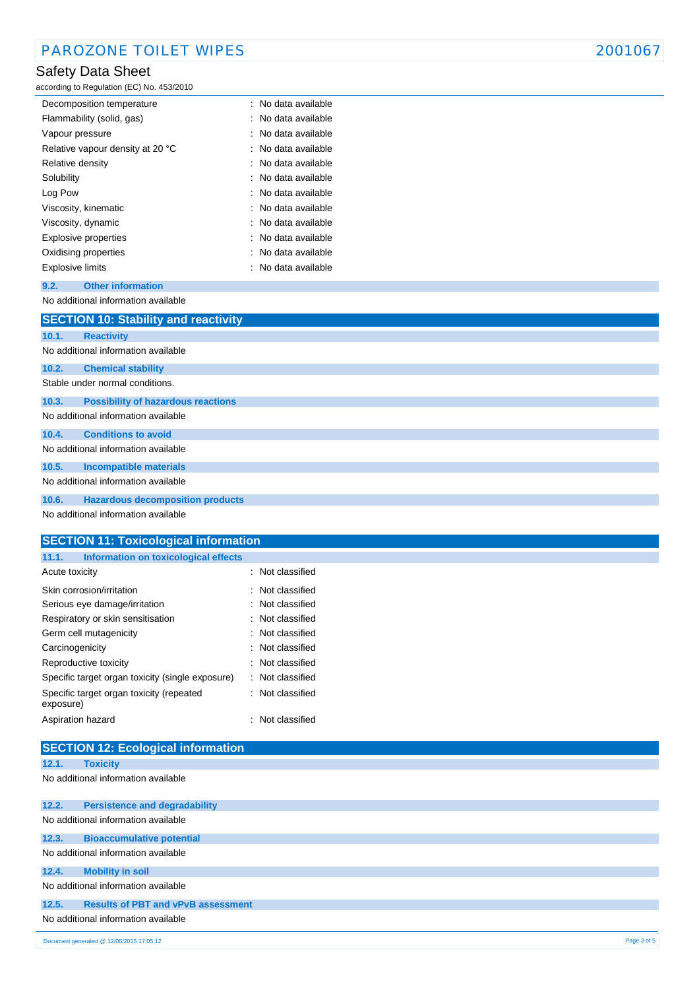# Safety Data Sheet

according to Regulation (EC) No. 453/2010

| Decomposition temperature        | : No data available |
|----------------------------------|---------------------|
| Flammability (solid, gas)        | : No data available |
| Vapour pressure                  | No data available   |
| Relative vapour density at 20 °C | No data available   |
| Relative density                 | No data available   |
| Solubility                       | No data available   |
| Log Pow                          | : No data available |
| Viscosity, kinematic             | : No data available |
| Viscosity, dynamic               | : No data available |
| Explosive properties             | : No data available |
| Oxidising properties             | : No data available |
| Explosive limits                 | : No data available |

### **9.2. Other information**

No additional information available

|       | <b>SECTION 10: Stability and reactivity</b> |
|-------|---------------------------------------------|
| 10.1. | <b>Reactivity</b>                           |
|       | No additional information available         |
| 10.2. | <b>Chemical stability</b>                   |
|       | Stable under normal conditions.             |
| 10.3. | <b>Possibility of hazardous reactions</b>   |
|       | No additional information available         |
| 10.4. | <b>Conditions to avoid</b>                  |
|       | No additional information available         |
| 10.5. | <b>Incompatible materials</b>               |
|       | No additional information available         |
| 10.6. | <b>Hazardous decomposition products</b>     |
|       | No additional information available         |

| <b>SECTION 11: Toxicological information</b>          |                     |
|-------------------------------------------------------|---------------------|
| Information on toxicological effects<br>11.1.         |                     |
| Acute toxicity                                        | : Not classified    |
| Skin corrosion/irritation                             | Not classified<br>÷ |
| Serious eye damage/irritation                         | Not classified<br>٠ |
| Respiratory or skin sensitisation                     | : Not classified    |
| Germ cell mutagenicity                                | : Not classified    |
| Carcinogenicity                                       | : Not classified    |
| Reproductive toxicity                                 | Not classified      |
| Specific target organ toxicity (single exposure)      | : Not classified    |
| Specific target organ toxicity (repeated<br>exposure) | Not classified<br>÷ |
| Aspiration hazard                                     | Not classified      |
|                                                       |                     |
| <b>SECTION 12: Ecological information</b>             |                     |

#### **12.1. Toxicity**

No additional information available

|                                     | Document generated @ 12/06/2015 17:05:12  | Page 3 of 5 |
|-------------------------------------|-------------------------------------------|-------------|
| No additional information available |                                           |             |
| 12.5.                               | <b>Results of PBT and vPvB assessment</b> |             |
|                                     | No additional information available       |             |
| 12.4.                               | <b>Mobility in soil</b>                   |             |
|                                     | No additional information available       |             |
| 12.3.                               | <b>Bioaccumulative potential</b>          |             |
|                                     | No additional information available       |             |
| 12.2.                               | <b>Persistence and degradability</b>      |             |
|                                     |                                           |             |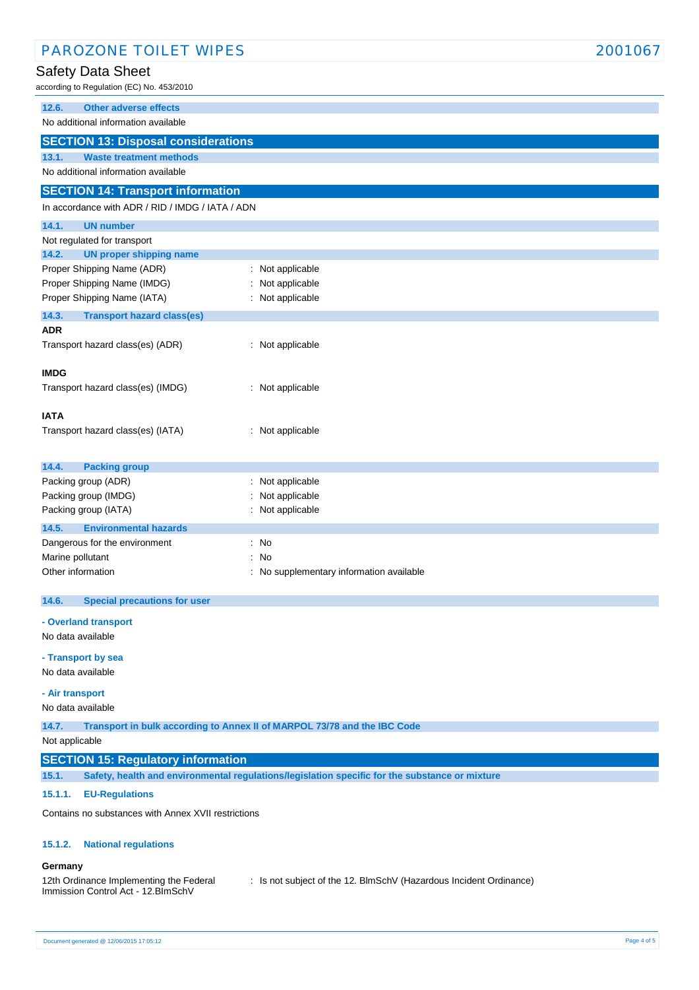| <b>PAROZONE TOILET WIPES</b>                                           |                                                                                                | 2001067 |
|------------------------------------------------------------------------|------------------------------------------------------------------------------------------------|---------|
| Safety Data Sheet                                                      |                                                                                                |         |
| according to Regulation (EC) No. 453/2010                              |                                                                                                |         |
| 12.6.<br><b>Other adverse effects</b>                                  |                                                                                                |         |
| No additional information available                                    |                                                                                                |         |
| <b>SECTION 13: Disposal considerations</b>                             |                                                                                                |         |
| 13.1.<br><b>Waste treatment methods</b>                                |                                                                                                |         |
| No additional information available                                    |                                                                                                |         |
| <b>SECTION 14: Transport information</b>                               |                                                                                                |         |
| In accordance with ADR / RID / IMDG / IATA / ADN                       |                                                                                                |         |
| 14.1.<br><b>UN number</b>                                              |                                                                                                |         |
| Not regulated for transport<br>14.2.<br><b>UN proper shipping name</b> |                                                                                                |         |
| Proper Shipping Name (ADR)                                             | : Not applicable                                                                               |         |
| Proper Shipping Name (IMDG)                                            | Not applicable                                                                                 |         |
| Proper Shipping Name (IATA)                                            | : Not applicable                                                                               |         |
| 14.3.<br><b>Transport hazard class(es)</b>                             |                                                                                                |         |
| <b>ADR</b>                                                             |                                                                                                |         |
| Transport hazard class(es) (ADR)                                       | : Not applicable                                                                               |         |
| <b>IMDG</b>                                                            |                                                                                                |         |
| Transport hazard class(es) (IMDG)                                      | : Not applicable                                                                               |         |
|                                                                        |                                                                                                |         |
| <b>IATA</b>                                                            |                                                                                                |         |
| Transport hazard class(es) (IATA)                                      | : Not applicable                                                                               |         |
|                                                                        |                                                                                                |         |
| 14.4.<br><b>Packing group</b>                                          |                                                                                                |         |
| Packing group (ADR)<br>Packing group (IMDG)                            | : Not applicable<br>Not applicable                                                             |         |
| Packing group (IATA)                                                   | Not applicable                                                                                 |         |
| 14.5.<br><b>Environmental hazards</b>                                  |                                                                                                |         |
| Dangerous for the environment                                          | : No                                                                                           |         |
| Marine pollutant                                                       | No                                                                                             |         |
| Other information                                                      | No supplementary information available                                                         |         |
| <b>Special precautions for user</b><br>14.6.                           |                                                                                                |         |
|                                                                        |                                                                                                |         |
| - Overland transport<br>No data available                              |                                                                                                |         |
|                                                                        |                                                                                                |         |
| - Transport by sea<br>No data available                                |                                                                                                |         |
|                                                                        |                                                                                                |         |
| - Air transport                                                        |                                                                                                |         |
| No data available                                                      |                                                                                                |         |
| 14.7.<br>Not applicable                                                | Transport in bulk according to Annex II of MARPOL 73/78 and the IBC Code                       |         |
| <b>SECTION 15: Regulatory information</b>                              |                                                                                                |         |
| 15.1.                                                                  | Safety, health and environmental regulations/legislation specific for the substance or mixture |         |
| <b>EU-Regulations</b><br>15.1.1.                                       |                                                                                                |         |
|                                                                        |                                                                                                |         |
| Contains no substances with Annex XVII restrictions                    |                                                                                                |         |
| 15.1.2.<br><b>National regulations</b>                                 |                                                                                                |         |
|                                                                        |                                                                                                |         |
| Germany<br>12th Ordinance Implementing the Federal                     | : Is not subject of the 12. BImSchV (Hazardous Incident Ordinance)                             |         |
| Immission Control Act - 12.BImSchV                                     |                                                                                                |         |
|                                                                        |                                                                                                |         |